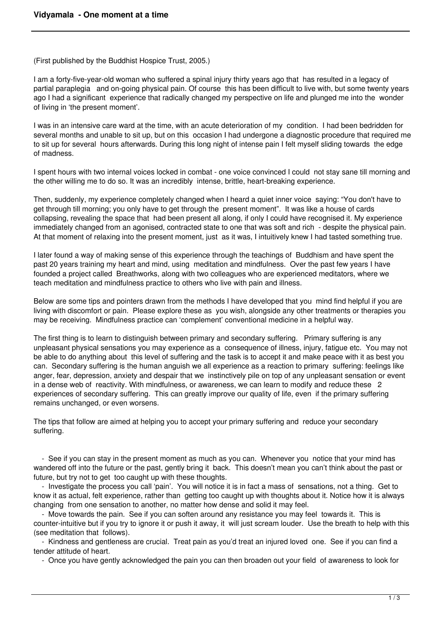(First published by the Buddhist Hospice Trust, 2005.)

I am a forty-five-year-old woman who suffered a spinal injury thirty years ago that has resulted in a legacy of partial paraplegia and on-going physical pain. Of course this has been difficult to live with, but some twenty years ago I had a significant experience that radically changed my perspective on life and plunged me into the wonder of living in 'the present moment'.

I was in an intensive care ward at the time, with an acute deterioration of my condition. I had been bedridden for several months and unable to sit up, but on this occasion I had undergone a diagnostic procedure that required me to sit up for several hours afterwards. During this long night of intense pain I felt myself sliding towards the edge of madness.

I spent hours with two internal voices locked in combat - one voice convinced I could not stay sane till morning and the other willing me to do so. It was an incredibly intense, brittle, heart-breaking experience.

Then, suddenly, my experience completely changed when I heard a quiet inner voice saying: "You don't have to get through till morning; you only have to get through the present moment". It was like a house of cards collapsing, revealing the space that had been present all along, if only I could have recognised it. My experience immediately changed from an agonised, contracted state to one that was soft and rich - despite the physical pain. At that moment of relaxing into the present moment, just as it was, I intuitively knew I had tasted something true.

I later found a way of making sense of this experience through the teachings of Buddhism and have spent the past 20 years training my heart and mind, using meditation and mindfulness. Over the past few years I have founded a project called Breathworks, along with two colleagues who are experienced meditators, where we teach meditation and mindfulness practice to others who live with pain and illness.

Below are some tips and pointers drawn from the methods I have developed that you mind find helpful if you are living with discomfort or pain. Please explore these as you wish, alongside any other treatments or therapies you may be receiving. Mindfulness practice can 'complement' conventional medicine in a helpful way.

The first thing is to learn to distinguish between primary and secondary suffering. Primary suffering is any unpleasant physical sensations you may experience as a consequence of illness, injury, fatigue etc. You may not be able to do anything about this level of suffering and the task is to accept it and make peace with it as best you can. Secondary suffering is the human anguish we all experience as a reaction to primary suffering: feelings like anger, fear, depression, anxiety and despair that we instinctively pile on top of any unpleasant sensation or event in a dense web of reactivity. With mindfulness, or awareness, we can learn to modify and reduce these 2 experiences of secondary suffering. This can greatly improve our quality of life, even if the primary suffering remains unchanged, or even worsens.

The tips that follow are aimed at helping you to accept your primary suffering and reduce your secondary suffering.

 - See if you can stay in the present moment as much as you can. Whenever you notice that your mind has wandered off into the future or the past, gently bring it back. This doesn't mean you can't think about the past or future, but try not to get too caught up with these thoughts.

 - Investigate the process you call 'pain'. You will notice it is in fact a mass of sensations, not a thing. Get to know it as actual, felt experience, rather than getting too caught up with thoughts about it. Notice how it is always changing from one sensation to another, no matter how dense and solid it may feel.

 - Move towards the pain. See if you can soften around any resistance you may feel towards it. This is counter-intuitive but if you try to ignore it or push it away, it will just scream louder. Use the breath to help with this (see meditation that follows).

 - Kindness and gentleness are crucial. Treat pain as you'd treat an injured loved one. See if you can find a tender attitude of heart.

- Once you have gently acknowledged the pain you can then broaden out your field of awareness to look for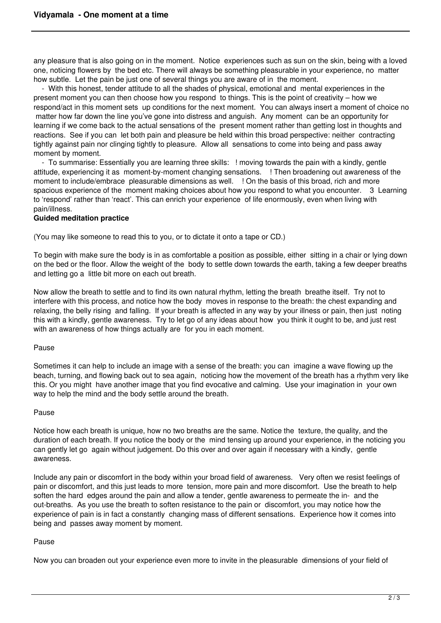any pleasure that is also going on in the moment. Notice experiences such as sun on the skin, being with a loved one, noticing flowers by the bed etc. There will always be something pleasurable in your experience, no matter how subtle. Let the pain be just one of several things you are aware of in the moment.

 - With this honest, tender attitude to all the shades of physical, emotional and mental experiences in the present moment you can then choose how you respond to things. This is the point of creativity – how we respond/act in this moment sets up conditions for the next moment. You can always insert a moment of choice no matter how far down the line you've gone into distress and anguish. Any moment can be an opportunity for learning if we come back to the actual sensations of the present moment rather than getting lost in thoughts and reactions. See if you can let both pain and pleasure be held within this broad perspective: neither contracting tightly against pain nor clinging tightly to pleasure. Allow all sensations to come into being and pass away moment by moment.

 - To summarise: Essentially you are learning three skills: ! moving towards the pain with a kindly, gentle attitude, experiencing it as moment-by-moment changing sensations. ! Then broadening out awareness of the moment to include/embrace pleasurable dimensions as well. ! On the basis of this broad, rich and more spacious experience of the moment making choices about how you respond to what you encounter. 3 Learning to 'respond' rather than 'react'. This can enrich your experience of life enormously, even when living with pain/illness.

# **Guided meditation practice**

(You may like someone to read this to you, or to dictate it onto a tape or CD.)

To begin with make sure the body is in as comfortable a position as possible, either sitting in a chair or lying down on the bed or the floor. Allow the weight of the body to settle down towards the earth, taking a few deeper breaths and letting go a little bit more on each out breath.

Now allow the breath to settle and to find its own natural rhythm, letting the breath breathe itself. Try not to interfere with this process, and notice how the body moves in response to the breath: the chest expanding and relaxing, the belly rising and falling. If your breath is affected in any way by your illness or pain, then just noting this with a kindly, gentle awareness. Try to let go of any ideas about how you think it ought to be, and just rest with an awareness of how things actually are for you in each moment.

# Pause

Sometimes it can help to include an image with a sense of the breath: you can imagine a wave flowing up the beach, turning, and flowing back out to sea again, noticing how the movement of the breath has a rhythm very like this. Or you might have another image that you find evocative and calming. Use your imagination in your own way to help the mind and the body settle around the breath.

# Pause

Notice how each breath is unique, how no two breaths are the same. Notice the texture, the quality, and the duration of each breath. If you notice the body or the mind tensing up around your experience, in the noticing you can gently let go again without judgement. Do this over and over again if necessary with a kindly, gentle awareness.

Include any pain or discomfort in the body within your broad field of awareness. Very often we resist feelings of pain or discomfort, and this just leads to more tension, more pain and more discomfort. Use the breath to help soften the hard edges around the pain and allow a tender, gentle awareness to permeate the in- and the out-breaths. As you use the breath to soften resistance to the pain or discomfort, you may notice how the experience of pain is in fact a constantly changing mass of different sensations. Experience how it comes into being and passes away moment by moment.

# Pause

Now you can broaden out your experience even more to invite in the pleasurable dimensions of your field of